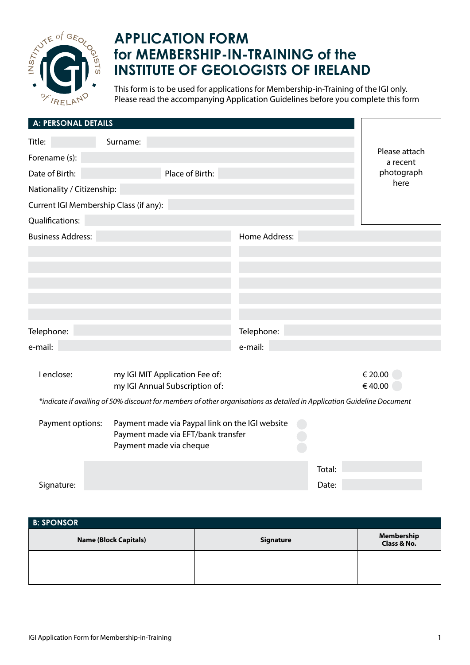

## **APPLICATION FORM for MEMBERSHIP-IN-TRAINING of the INSTITUTE OF GEOLOGISTS OF IRELAND**

This form is to be used for applications for Membership-in-Training of the IGI only. Please read the accompanying Application Guidelines before you complete this form

| A: PERSONAL DETAILS        |                                                                                                                        |                                                               |               |        |                           |
|----------------------------|------------------------------------------------------------------------------------------------------------------------|---------------------------------------------------------------|---------------|--------|---------------------------|
| Title:                     | Surname:                                                                                                               |                                                               |               |        |                           |
| Forename (s):              |                                                                                                                        |                                                               |               |        | Please attach<br>a recent |
| Date of Birth:             |                                                                                                                        | Place of Birth:                                               |               |        | photograph                |
| Nationality / Citizenship: |                                                                                                                        |                                                               |               |        | here                      |
|                            | Current IGI Membership Class (if any):                                                                                 |                                                               |               |        |                           |
| Qualifications:            |                                                                                                                        |                                                               |               |        |                           |
| <b>Business Address:</b>   |                                                                                                                        |                                                               | Home Address: |        |                           |
|                            |                                                                                                                        |                                                               |               |        |                           |
|                            |                                                                                                                        |                                                               |               |        |                           |
|                            |                                                                                                                        |                                                               |               |        |                           |
|                            |                                                                                                                        |                                                               |               |        |                           |
|                            |                                                                                                                        |                                                               |               |        |                           |
| Telephone:                 |                                                                                                                        |                                                               | Telephone:    |        |                           |
| e-mail:                    |                                                                                                                        |                                                               | e-mail:       |        |                           |
|                            |                                                                                                                        |                                                               |               |        |                           |
| I enclose:                 |                                                                                                                        | my IGI MIT Application Fee of:                                |               |        | € 20.00<br>€40.00         |
|                            | *indicate if availing of 50% discount for members of other organisations as detailed in Application Guideline Document | my IGI Annual Subscription of:                                |               |        |                           |
|                            |                                                                                                                        |                                                               |               |        |                           |
| Payment options:           |                                                                                                                        | Payment made via Paypal link on the IGI website               |               |        |                           |
|                            |                                                                                                                        | Payment made via EFT/bank transfer<br>Payment made via cheque |               |        |                           |
|                            |                                                                                                                        |                                                               |               |        |                           |
|                            |                                                                                                                        |                                                               |               | Total: |                           |
| Signature:                 |                                                                                                                        |                                                               |               | Date:  |                           |

| <b>B: SPONSOR</b>            |           |                           |  |  |  |
|------------------------------|-----------|---------------------------|--|--|--|
| <b>Name (Block Capitals)</b> | Signature | Membership<br>Class & No. |  |  |  |
|                              |           |                           |  |  |  |
|                              |           |                           |  |  |  |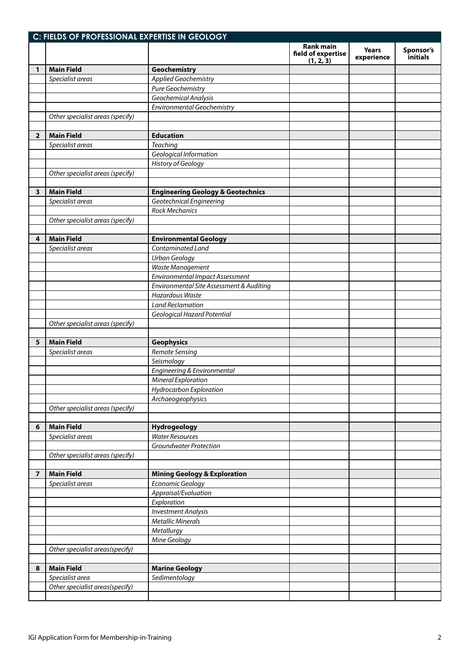|                         | C: FIELDS OF PROFESSIONAL EXPERTISE IN GEOLOGY |                                              |                                                     |                            |                       |  |
|-------------------------|------------------------------------------------|----------------------------------------------|-----------------------------------------------------|----------------------------|-----------------------|--|
|                         |                                                |                                              | <b>Rank main</b><br>field of expertise<br>(1, 2, 3) | <b>Years</b><br>experience | Sponsor's<br>initials |  |
| 1                       | <b>Main Field</b>                              | Geochemistry                                 |                                                     |                            |                       |  |
|                         | Specialist areas                               | <b>Applied Geochemistry</b>                  |                                                     |                            |                       |  |
|                         |                                                | Pure Geochemistry                            |                                                     |                            |                       |  |
|                         |                                                | Geochemical Analysis                         |                                                     |                            |                       |  |
|                         |                                                | <b>Environmental Geochemistry</b>            |                                                     |                            |                       |  |
|                         | Other specialist areas (specify)               |                                              |                                                     |                            |                       |  |
|                         |                                                |                                              |                                                     |                            |                       |  |
| $\overline{2}$          | <b>Main Field</b>                              | <b>Education</b>                             |                                                     |                            |                       |  |
|                         | Specialist areas                               | <b>Teaching</b>                              |                                                     |                            |                       |  |
|                         |                                                | Geological Information                       |                                                     |                            |                       |  |
|                         |                                                | <b>History of Geology</b>                    |                                                     |                            |                       |  |
|                         | Other specialist areas (specify)               |                                              |                                                     |                            |                       |  |
|                         |                                                |                                              |                                                     |                            |                       |  |
| 3                       | <b>Main Field</b>                              | <b>Engineering Geology &amp; Geotechnics</b> |                                                     |                            |                       |  |
|                         | Specialist areas                               | Geotechnical Engineering                     |                                                     |                            |                       |  |
|                         |                                                | <b>Rock Mechanics</b>                        |                                                     |                            |                       |  |
|                         | Other specialist areas (specify)               |                                              |                                                     |                            |                       |  |
|                         |                                                |                                              |                                                     |                            |                       |  |
| 4                       | <b>Main Field</b>                              | <b>Environmental Geology</b>                 |                                                     |                            |                       |  |
|                         | Specialist areas                               | Contaminated Land                            |                                                     |                            |                       |  |
|                         |                                                | <b>Urban Geology</b>                         |                                                     |                            |                       |  |
|                         |                                                | Waste Management                             |                                                     |                            |                       |  |
|                         |                                                | <b>Environmental Impact Assessment</b>       |                                                     |                            |                       |  |
|                         |                                                | Environmental Site Assessment & Auditing     |                                                     |                            |                       |  |
|                         |                                                | <b>Hazardous Waste</b>                       |                                                     |                            |                       |  |
|                         |                                                | <b>Land Reclamation</b>                      |                                                     |                            |                       |  |
|                         |                                                | Geological Hazard Potential                  |                                                     |                            |                       |  |
|                         | Other specialist areas (specify)               |                                              |                                                     |                            |                       |  |
|                         |                                                |                                              |                                                     |                            |                       |  |
| 5                       | <b>Main Field</b>                              | <b>Geophysics</b>                            |                                                     |                            |                       |  |
|                         | Specialist areas                               | <b>Remote Sensing</b>                        |                                                     |                            |                       |  |
|                         |                                                | Seismology                                   |                                                     |                            |                       |  |
|                         |                                                | Engineering & Environmental                  |                                                     |                            |                       |  |
|                         |                                                | Mineral Exploration                          |                                                     |                            |                       |  |
|                         |                                                | Hydrocarbon Exploration                      |                                                     |                            |                       |  |
|                         |                                                | Archaeogeophysics                            |                                                     |                            |                       |  |
|                         | Other specialist areas (specify)               |                                              |                                                     |                            |                       |  |
|                         |                                                |                                              |                                                     |                            |                       |  |
| 6                       | <b>Main Field</b>                              | Hydrogeology                                 |                                                     |                            |                       |  |
|                         | Specialist areas                               | <b>Water Resources</b>                       |                                                     |                            |                       |  |
|                         |                                                | <b>Groundwater Protection</b>                |                                                     |                            |                       |  |
|                         | Other specialist areas (specify)               |                                              |                                                     |                            |                       |  |
|                         |                                                |                                              |                                                     |                            |                       |  |
| $\overline{\mathbf{z}}$ | <b>Main Field</b>                              | <b>Mining Geology &amp; Exploration</b>      |                                                     |                            |                       |  |
|                         | Specialist areas                               | Economic Geology                             |                                                     |                            |                       |  |
|                         |                                                | Appraisal/Evaluation                         |                                                     |                            |                       |  |
|                         |                                                | Exploration                                  |                                                     |                            |                       |  |
|                         |                                                | <b>Investment Analysis</b>                   |                                                     |                            |                       |  |
|                         |                                                | <b>Metallic Minerals</b>                     |                                                     |                            |                       |  |
|                         |                                                | Metallurgy                                   |                                                     |                            |                       |  |
|                         |                                                | Mine Geology                                 |                                                     |                            |                       |  |
|                         | Other specialist areas(specify)                |                                              |                                                     |                            |                       |  |
|                         |                                                |                                              |                                                     |                            |                       |  |
| 8                       | <b>Main Field</b>                              | <b>Marine Geology</b>                        |                                                     |                            |                       |  |
|                         | Specialist area                                | Sedimentology                                |                                                     |                            |                       |  |
|                         | Other specialist areas(specify)                |                                              |                                                     |                            |                       |  |
|                         |                                                |                                              |                                                     |                            |                       |  |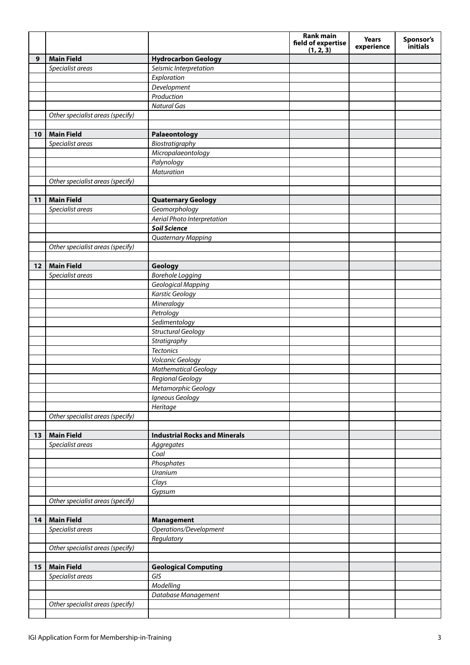|    |                                  |                                      | <b>Rank main</b><br>field of expertise<br>(1, 2, 3) | <b>Years</b><br>experience | Sponsor's<br>initials |
|----|----------------------------------|--------------------------------------|-----------------------------------------------------|----------------------------|-----------------------|
| 9  | <b>Main Field</b>                | <b>Hydrocarbon Geology</b>           |                                                     |                            |                       |
|    | Specialist areas                 | Seismic Interpretation               |                                                     |                            |                       |
|    |                                  | Exploration                          |                                                     |                            |                       |
|    |                                  | Development                          |                                                     |                            |                       |
|    |                                  | Production                           |                                                     |                            |                       |
|    |                                  | <b>Natural Gas</b>                   |                                                     |                            |                       |
|    | Other specialist areas (specify) |                                      |                                                     |                            |                       |
|    |                                  |                                      |                                                     |                            |                       |
| 10 | <b>Main Field</b>                | Palaeontology                        |                                                     |                            |                       |
|    | Specialist areas                 | Biostratigraphy                      |                                                     |                            |                       |
|    |                                  | Micropalaeontology                   |                                                     |                            |                       |
|    |                                  | Palynology                           |                                                     |                            |                       |
|    |                                  | <b>Maturation</b>                    |                                                     |                            |                       |
|    | Other specialist areas (specify) |                                      |                                                     |                            |                       |
|    |                                  |                                      |                                                     |                            |                       |
| 11 | <b>Main Field</b>                | <b>Quaternary Geology</b>            |                                                     |                            |                       |
|    | Specialist areas                 | Geomorphology                        |                                                     |                            |                       |
|    |                                  | Aerial Photo Interpretation          |                                                     |                            |                       |
|    |                                  | <b>Soil Science</b>                  |                                                     |                            |                       |
|    |                                  | <b>Quaternary Mapping</b>            |                                                     |                            |                       |
|    | Other specialist areas (specify) |                                      |                                                     |                            |                       |
|    | <b>Main Field</b>                |                                      |                                                     |                            |                       |
| 12 | Specialist areas                 | Geology<br><b>Borehole Logging</b>   |                                                     |                            |                       |
|    |                                  | Geological Mapping                   |                                                     |                            |                       |
|    |                                  | <b>Karstic Geology</b>               |                                                     |                            |                       |
|    |                                  | Mineralogy                           |                                                     |                            |                       |
|    |                                  | Petrology                            |                                                     |                            |                       |
|    |                                  | Sedimentology                        |                                                     |                            |                       |
|    |                                  | <b>Structural Geology</b>            |                                                     |                            |                       |
|    |                                  | Stratigraphy                         |                                                     |                            |                       |
|    |                                  | <b>Tectonics</b>                     |                                                     |                            |                       |
|    |                                  | Volcanic Geology                     |                                                     |                            |                       |
|    |                                  | <b>Mathematical Geology</b>          |                                                     |                            |                       |
|    |                                  | Regional Geology                     |                                                     |                            |                       |
|    |                                  | Metamorphic Geology                  |                                                     |                            |                       |
|    |                                  | Igneous Geology                      |                                                     |                            |                       |
|    |                                  | Heritage                             |                                                     |                            |                       |
|    | Other specialist areas (specify) |                                      |                                                     |                            |                       |
|    |                                  |                                      |                                                     |                            |                       |
| 13 | <b>Main Field</b>                | <b>Industrial Rocks and Minerals</b> |                                                     |                            |                       |
|    | Specialist areas                 | Aggregates                           |                                                     |                            |                       |
|    |                                  | Coal                                 |                                                     |                            |                       |
|    |                                  | Phosphates                           |                                                     |                            |                       |
|    |                                  | Uranium                              |                                                     |                            |                       |
|    |                                  | Clays                                |                                                     |                            |                       |
|    | Other specialist areas (specify) | Gypsum                               |                                                     |                            |                       |
|    |                                  |                                      |                                                     |                            |                       |
| 14 | <b>Main Field</b>                | <b>Management</b>                    |                                                     |                            |                       |
|    | Specialist areas                 | Operations/Development               |                                                     |                            |                       |
|    |                                  | Regulatory                           |                                                     |                            |                       |
|    | Other specialist areas (specify) |                                      |                                                     |                            |                       |
|    |                                  |                                      |                                                     |                            |                       |
| 15 | <b>Main Field</b>                | <b>Geological Computing</b>          |                                                     |                            |                       |
|    | Specialist areas                 | GIS                                  |                                                     |                            |                       |
|    |                                  | Modelling                            |                                                     |                            |                       |
|    |                                  | Database Management                  |                                                     |                            |                       |
|    | Other specialist areas (specify) |                                      |                                                     |                            |                       |
|    |                                  |                                      |                                                     |                            |                       |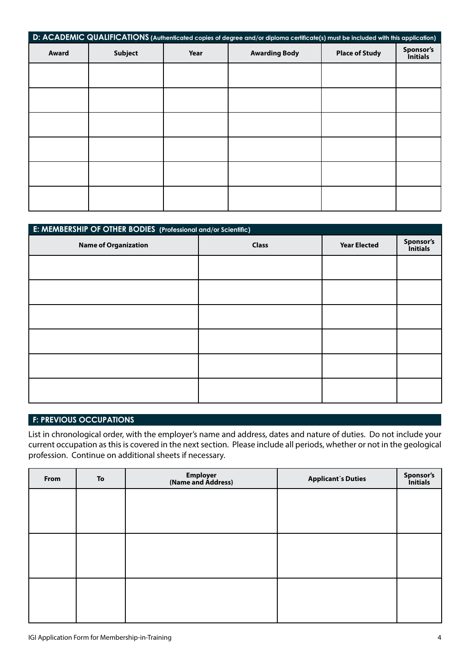| D: ACADEMIC QUALIFICATIONS (Authenticated copies of degree and/or diploma certificate(s) must be included with this application) |                |      |                      |                       |                              |
|----------------------------------------------------------------------------------------------------------------------------------|----------------|------|----------------------|-----------------------|------------------------------|
| Award                                                                                                                            | <b>Subject</b> | Year | <b>Awarding Body</b> | <b>Place of Study</b> | Sponsor's<br><i>initials</i> |
|                                                                                                                                  |                |      |                      |                       |                              |
|                                                                                                                                  |                |      |                      |                       |                              |
|                                                                                                                                  |                |      |                      |                       |                              |
|                                                                                                                                  |                |      |                      |                       |                              |
|                                                                                                                                  |                |      |                      |                       |                              |
|                                                                                                                                  |                |      |                      |                       |                              |

| E: MEMBERSHIP OF OTHER BODIES (Professional and/or Scientific) |              |                     |                       |  |  |
|----------------------------------------------------------------|--------------|---------------------|-----------------------|--|--|
| <b>Name of Organization</b>                                    | <b>Class</b> | <b>Year Elected</b> | Sponsor's<br>Initials |  |  |
|                                                                |              |                     |                       |  |  |
|                                                                |              |                     |                       |  |  |
|                                                                |              |                     |                       |  |  |
|                                                                |              |                     |                       |  |  |
|                                                                |              |                     |                       |  |  |
|                                                                |              |                     |                       |  |  |

## **F: PREVIOUS OCCUPATIONS**

List in chronological order, with the employer's name and address, dates and nature of duties. Do not include your current occupation as this is covered in the next section. Please include all periods, whether or not in the geological profession. Continue on additional sheets if necessary.

| From | To | Employer<br>(Name and Address) | <b>Applicant's Duties</b> | <b>Sponsor's</b><br>Initials |
|------|----|--------------------------------|---------------------------|------------------------------|
|      |    |                                |                           |                              |
|      |    |                                |                           |                              |
|      |    |                                |                           |                              |
|      |    |                                |                           |                              |
|      |    |                                |                           |                              |
|      |    |                                |                           |                              |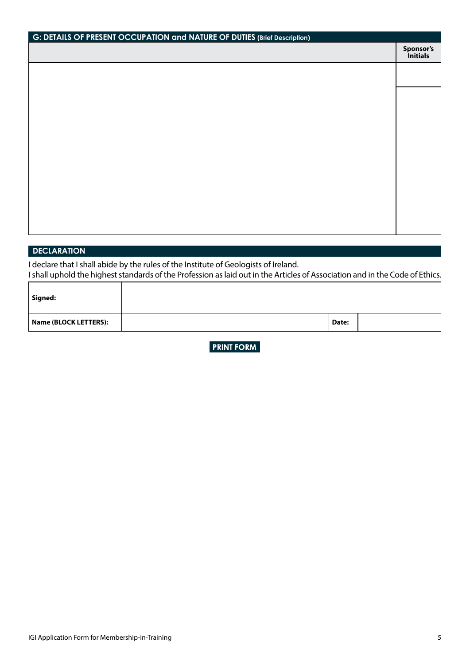| G: DETAILS OF PRESENT OCCUPATION and NATURE OF DUTIES (Brief Description) |                       |  |
|---------------------------------------------------------------------------|-----------------------|--|
|                                                                           | Sponsor's<br>Initials |  |
|                                                                           |                       |  |
|                                                                           |                       |  |
|                                                                           |                       |  |
|                                                                           |                       |  |
|                                                                           |                       |  |
|                                                                           |                       |  |
|                                                                           |                       |  |
|                                                                           |                       |  |
|                                                                           |                       |  |
|                                                                           |                       |  |
|                                                                           |                       |  |
|                                                                           |                       |  |

## **DECLARATION**

I declare that I shall abide by the rules of the Institute of Geologists of Ireland.

т

I shall uphold the highest standards of the Profession as laid out in the Articles of Association and in the Code of Ethics.Г

| Signed:               |       |  |
|-----------------------|-------|--|
| Name (BLOCK LETTERS): | Date: |  |

**PRINT FORM** 

٦